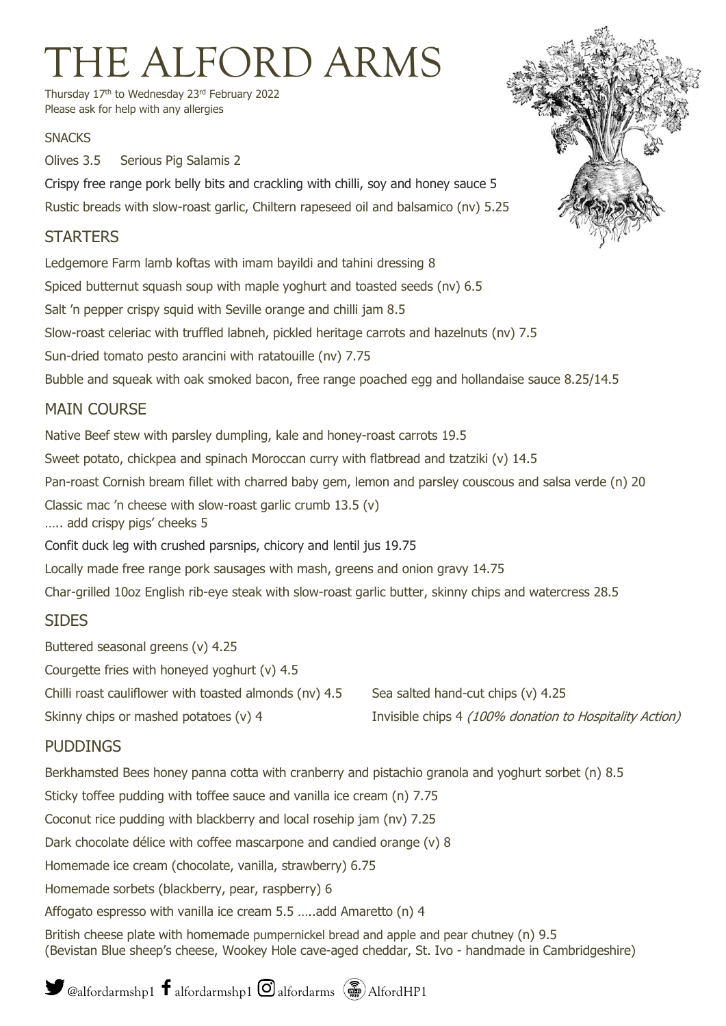# THE ALFORD ARMS

Thursday 17<sup>th</sup> to Wednesday 23<sup>rd</sup> February 2022 Please ask for help with any allergies

#### **SNACKS**

Olives 3.5 Serious Pig Salamis 2

Crispy free range pork belly bits and crackling with chilli, soy and honey sauce 5

Rustic breads with slow-roast garlic, Chiltern rapeseed oil and balsamico (nv) 5.25

# **STARTERS**

Ledgemore Farm lamb koftas with imam bayildi and tahini dressing 8 Spiced butternut squash soup with maple yoghurt and toasted seeds (nv) 6.5 Salt 'n pepper crispy squid with Seville orange and chilli jam 8.5 Slow-roast celeriac with truffled labneh, pickled heritage carrots and hazelnuts (nv) 7.5 Sun-dried tomato pesto arancini with ratatouille (nv) 7.75 Bubble and squeak with oak smoked bacon, free range poached egg and hollandaise sauce 8.25/14.5 MAIN COURSE Native Beef stew with parsley dumpling, kale and honey-roast carrots 19.5 Sweet potato, chickpea and spinach Moroccan curry with flatbread and tzatziki (v) 14.5 Pan-roast Cornish bream fillet with charred baby gem, lemon and parsley couscous and salsa verde (n) 20 Classic mac 'n cheese with slow-roast garlic crumb 13.5 (v) ….. add crispy pigs' cheeks 5 Confit duck leg with crushed parsnips, chicory and lentil jus 19.75 Locally made free range pork sausages with mash, greens and onion gravy 14.75 Char-grilled 10oz English rib-eye steak with slow-roast garlic butter, skinny chips and watercress 28.5

## SIDES

Buttered seasonal greens (v) 4.25 Courgette fries with honeyed yoghurt (v) 4.5

Chilli roast cauliflower with toasted almonds (nv)  $4.5$  Sea salted hand-cut chips (v)  $4.25$ 

Skinny chips or mashed potatoes (v) 4 Invisible chips 4 (100% donation to Hospitality Action)

## PUDDINGS

Berkhamsted Bees honey panna cotta with cranberry and pistachio granola and yoghurt sorbet (n) 8.5 Sticky toffee pudding with toffee sauce and vanilla ice cream (n) 7.75 Coconut rice pudding with blackberry and local rosehip jam (nv) 7.25 Dark chocolate délice with coffee mascarpone and candied orange (v) 8 Homemade ice cream (chocolate, vanilla, strawberry) 6.75 Homemade sorbets (blackberry, pear, raspberry) 6 Affogato espresso with vanilla ice cream 5.5 …..add Amaretto (n) 4 British cheese plate with homemade pumpernickel bread and apple and pear chutney (n) 9.5 (Bevistan Blue sheep's cheese, Wookey Hole cave-aged cheddar, St. Ivo - handmade in Cambridgeshire)



@alfordarmshp1  $\mathbf f$  alfordarmshp1  $\mathbf \odot$  alfordarms  $\left(\widehat{\mathbf m}\right)$  AlfordHP1